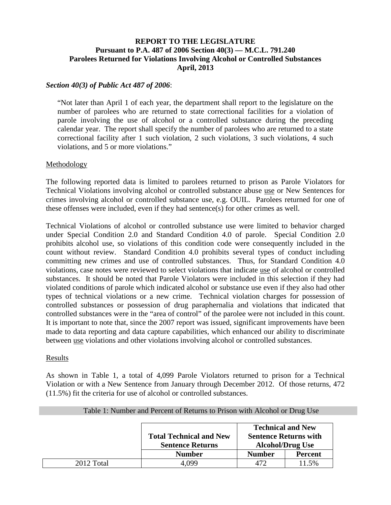# **REPORT TO THE LEGISLATURE Pursuant to P.A. 487 of 2006 Section 40(3) — M.C.L. 791.240 Parolees Returned for Violations Involving Alcohol or Controlled Substances April, 2013**

## *Section 40(3) of Public Act 487 of 2006*:

"Not later than April 1 of each year, the department shall report to the legislature on the number of parolees who are returned to state correctional facilities for a violation of parole involving the use of alcohol or a controlled substance during the preceding calendar year. The report shall specify the number of parolees who are returned to a state correctional facility after 1 such violation, 2 such violations, 3 such violations, 4 such violations, and 5 or more violations."

## Methodology

The following reported data is limited to parolees returned to prison as Parole Violators for Technical Violations involving alcohol or controlled substance abuse use or New Sentences for crimes involving alcohol or controlled substance use, e.g. OUIL. Parolees returned for one of these offenses were included, even if they had sentence(s) for other crimes as well.

Technical Violations of alcohol or controlled substance use were limited to behavior charged under Special Condition 2.0 and Standard Condition 4.0 of parole. Special Condition 2.0 prohibits alcohol use, so violations of this condition code were consequently included in the count without review. Standard Condition 4.0 prohibits several types of conduct including committing new crimes and use of controlled substances. Thus, for Standard Condition 4.0 violations, case notes were reviewed to select violations that indicate use of alcohol or controlled substances. It should be noted that Parole Violators were included in this selection if they had violated conditions of parole which indicated alcohol or substance use even if they also had other types of technical violations or a new crime. Technical violation charges for possession of controlled substances or possession of drug paraphernalia and violations that indicated that controlled substances were in the "area of control" of the parolee were not included in this count. It is important to note that, since the 2007 report was issued, significant improvements have been made to data reporting and data capture capabilities, which enhanced our ability to discriminate between use violations and other violations involving alcohol or controlled substances.

#### Results

As shown in Table 1, a total of 4,099 Parole Violators returned to prison for a Technical Violation or with a New Sentence from January through December 2012. Of those returns, 472 (11.5%) fit the criteria for use of alcohol or controlled substances.

|            |                                                           |                                                         | <b>Technical and New</b> |  |  |  |
|------------|-----------------------------------------------------------|---------------------------------------------------------|--------------------------|--|--|--|
|            | <b>Total Technical and New</b><br><b>Sentence Returns</b> | <b>Sentence Returns with</b><br><b>Alcohol/Drug Use</b> |                          |  |  |  |
|            | <b>Number</b>                                             | <b>Number</b>                                           | <b>Percent</b>           |  |  |  |
| 2012 Total | 4.099                                                     |                                                         | 11.5%                    |  |  |  |

#### Table 1: Number and Percent of Returns to Prison with Alcohol or Drug Use